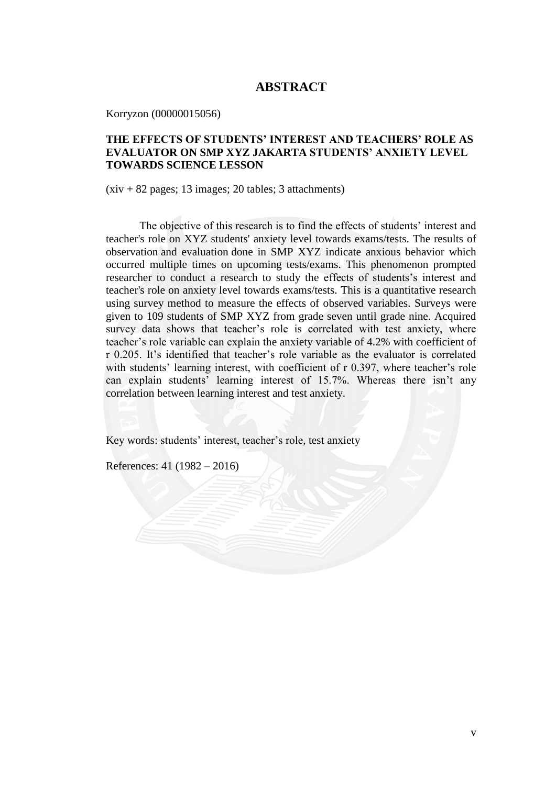## **ABSTRACT**

Korryzon (00000015056)

## **THE EFFECTS OF STUDENTS' INTEREST AND TEACHERS' ROLE AS EVALUATOR ON SMP XYZ JAKARTA STUDENTS' ANXIETY LEVEL TOWARDS SCIENCE LESSON**

 $(xiv + 82$  pages; 13 images; 20 tables; 3 attachments)

The objective of this research is to find the effects of students' interest and teacher's role on XYZ students' anxiety level towards exams/tests. The results of observation and evaluation done in SMP XYZ indicate anxious behavior which occurred multiple times on upcoming tests/exams. This phenomenon prompted researcher to conduct a research to study the effects of students's interest and teacher's role on anxiety level towards exams/tests. This is a quantitative research using survey method to measure the effects of observed variables. Surveys were given to 109 students of SMP XYZ from grade seven until grade nine. Acquired survey data shows that teacher's role is correlated with test anxiety, where teacher's role variable can explain the anxiety variable of 4.2% with coefficient of r 0.205. It's identified that teacher's role variable as the evaluator is correlated with students' learning interest, with coefficient of r 0.397, where teacher's role can explain students' learning interest of 15.7%. Whereas there isn't any correlation between learning interest and test anxiety.

Key words: students' interest, teacher's role, test anxiety

References: 41 (1982 – 2016)